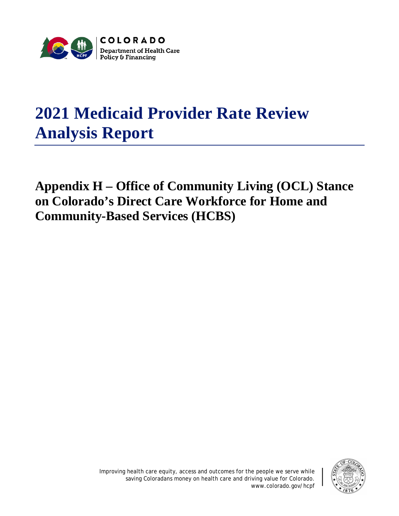

## **2021 Medicaid Provider Rate Review Analysis Report**

**Appendix H – Office of Community Living (OCL) Stance on Colorado's Direct Care Workforce for Home and Community-Based Services (HCBS)**